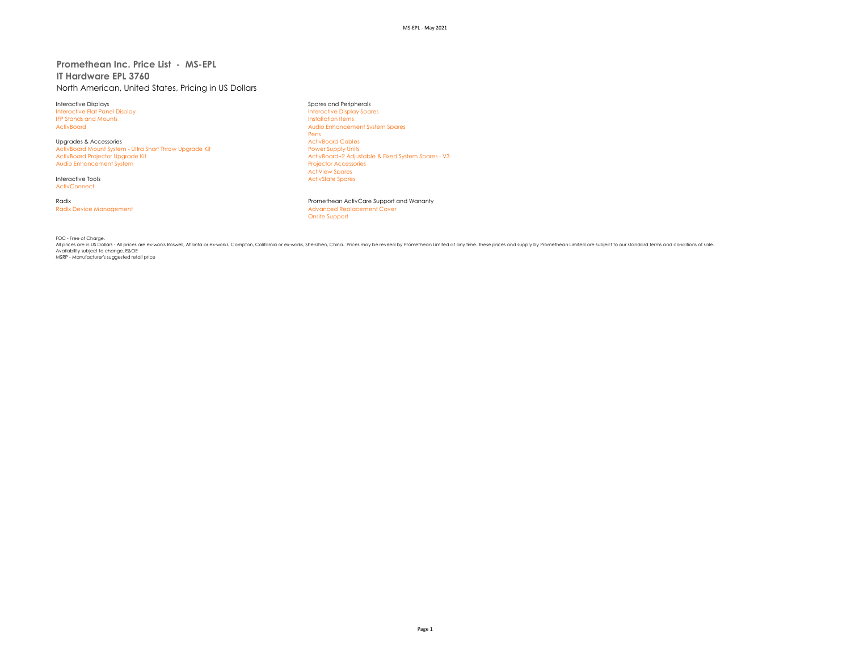## **Promethean Inc. Price List - MS-EPL IT Hardware EPL 3760** North American, United States, Pricing in US Dollars

Interactive Displays Spares and Peripherals Interactive Flat Panel Display IFP Stands and Mounts **Installation Items** 

Upgrades & Accessories and Upgrades ActivBoard Cables ActivBoard Cables ActivBoard Cables ActivBoard Cables ActivBoard Mount System - Ultra Short Throw Upgrade Kit ActivBoard Mount System - Ultra Short Throw Upgrade Kit<br>ActivBoard Proiector Uparade Kit Audio Enhancement System

**ActivConnect** 

ActivBoard Audio Enhancement System Spares Pens<br>ActivBoard Cables ActivBoard+2 Adjustable & Fixed System Spares - V3<br>Projector Accessories ActiView Spares Interactive Tools **ActivSlate Spares** ActivSlate Spares ActivSlate Spares

Radix Promethean ActivCare Support and Warranty Radix Device Management **Advanced Replacement Cover Advanced Replacement Cover** Onsite Support

FOC - Free of Charge.

All prices are in US Dollars - All prices are ex-works Roswell, Atlanta or ex-works, Compton, California or ex-works, Shenzhen, China. Prices may be revised by Promethean Limited at any time. These prices and supply by Pro Availability subject to change. E&OE MSRP - Manufacturer's suggested retail price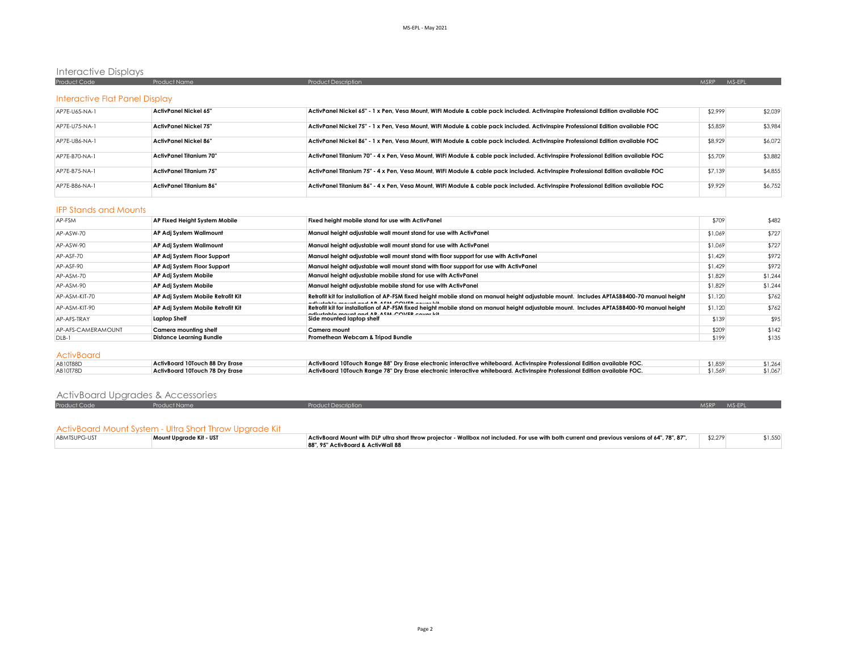# Interactive Displays

| Proc                           |                                                                                                                     | <b>Product Description</b>                                                       | MS-FPI<br><b>MSRP</b> |
|--------------------------------|---------------------------------------------------------------------------------------------------------------------|----------------------------------------------------------------------------------|-----------------------|
|                                |                                                                                                                     |                                                                                  |                       |
| Interactive Flat Panel Display |                                                                                                                     |                                                                                  |                       |
|                                | and the contract of the contract of the contract of the contract of the contract of the contract of the contract of | ,我们就是一个人的人,我们就是一个人的人,我们就是一个人的人,我们就是一个人的人,我们就是一个人的人,我们就是一个人的人,我们就是一个人的人,我们就是一个人的人 |                       |

| AP7E-U65-NA-1 | ActivPanel Nickel 65"          | ActivPanel Nickel 65" - 1 x Pen, Vesa Mount, WIFI Module & cable pack included. ActivInspire Professional Edition available FOC   | \$2.999 | \$2,039 |
|---------------|--------------------------------|-----------------------------------------------------------------------------------------------------------------------------------|---------|---------|
| AP7E-U75-NA-1 | ActivPanel Nickel 75"          | ActivPanel Nickel 75" - 1 x Pen, Vesa Mount, WIFI Module & cable pack included. ActivInspire Professional Edition available FOC   | \$5,859 | \$3,984 |
| AP7E-U86-NA-1 | ActivPanel Nickel 86"          | ActivPanel Nickel 86" - 1 x Pen, Vesa Mount, WIFI Module & cable pack included. ActivInspire Professional Edition available FOC   | \$8,929 | \$6,072 |
| AP7E-B70-NA-1 | <b>ActivPanel Titanium 70"</b> | ActivPanel Titanium 70" - 4 x Pen. Vesa Mount. WIFI Module & cable pack included. ActivInspire Professional Edition available FOC | \$5,709 | \$3,882 |
| AP7F-B75-NA-1 | ActivPanel Titanium 75"        | ActivPanel Titanium 75" - 4 x Pen. Vesa Mount. WIFI Module & cable pack included. ActivInspire Professional Edition available FOC | \$7,139 | \$4,855 |
| AP7E-B86-NA-1 | <b>ActivPanel Titanium 86"</b> | ActivPanel Titanium 86" - 4 x Pen, Vesa Mount, WIFI Module & cable pack included. ActivInspire Professional Edition available FOC | \$9,929 | \$6,752 |

#### IFP Stands and Mounts

| AP-FSM             | AP Fixed Height System Mobile          | Fixed height mobile stand for use with ActivPanel                                                                                                                                                       | \$709   | \$482   |
|--------------------|----------------------------------------|---------------------------------------------------------------------------------------------------------------------------------------------------------------------------------------------------------|---------|---------|
| AP-ASW-70          | AP Adj System Wallmount                | Manual height adjustable wall mount stand for use with ActivPanel                                                                                                                                       | \$1,069 | \$727   |
| AP-ASW-90          | AP Adj System Wallmount                | Manual height adjustable wall mount stand for use with ActivPanel                                                                                                                                       | \$1,069 | \$727   |
| AP-ASF-70          | AP Adj System Floor Support            | Manual height adjustable wall mount stand with floor support for use with ActivPanel                                                                                                                    | \$1,429 | \$972   |
| AP-ASF-90          | AP Adj System Floor Support            | Manual height adjustable wall mount stand with floor support for use with ActivPanel                                                                                                                    | \$1,429 | \$972   |
| AP-ASM-70          | AP Adj System Mobile                   | Manual height adjustable mobile stand for use with ActivPanel                                                                                                                                           | \$1,829 | \$1,244 |
| AP-ASM-90          | AP Adj System Mobile                   | Manual height adjustable mobile stand for use with ActivPanel                                                                                                                                           | \$1,829 | \$1,244 |
| AP-ASM-KIT-70      | AP Adj System Mobile Retrofit Kit      | Retrofit kit for installation of AP-FSM fixed height mobile stand on manual height adjustable mount. Includes APTASBB400-70 manual height<br>distributed as a send on a A B A CAA COMPER a server lift. | \$1,120 | \$762   |
| AP-ASM-KIT-90      | AP Adj System Mobile Retrofit Kit      | Retrofit kit for installation of AP-FSM fixed height mobile stand on manual height adjustable mount. Includes APTASBB400-90 manual height<br>disabeled account and AD ASM COVER course life             | \$1,120 | \$762   |
| AP-AFS-TRAY        | Laptop Shelf                           | Side mounted laptop shelf                                                                                                                                                                               | \$139   | \$95    |
| AP-AFS-CAMERAMOUNT | Camera mounting shelf                  | Camera mount                                                                                                                                                                                            | \$209   | \$142   |
| DLB-1              | <b>Distance Learning Bundle</b>        | Promethean Webcam & Tripod Bundle                                                                                                                                                                       | \$199   | \$135   |
| <b>ActivBoard</b>  |                                        |                                                                                                                                                                                                         |         |         |
| AB10T88D           | ActivBoard 10Touch 88 Dry Erase        | ActivBoard 10Touch Range 88" Dry Erase electronic interactive whiteboard. ActivInspire Professional Edition available FOC.                                                                              | \$1,859 | \$1,264 |
| AB10T78D           | <b>ActivBoard 10Touch 78 Drv Erase</b> | ActivBoard 10Touch Range 78" Dry Erase electronic interactive whiteboard. ActivInspire Professional Edition available FOC.                                                                              | \$1,569 | \$1,067 |

| ActivBoard Upgrades & Accessories |              |                            |             |  |
|-----------------------------------|--------------|----------------------------|-------------|--|
| Product Code                      | Product Name | <b>Product Description</b> | MSRP MS-FPI |  |
|                                   |              |                            |             |  |

#### ActivBoard Mount System - Ultra Short Throw Upgrade Kit

| ABMTSUPG-UST | Mount Upgrade Kit - UST | ActivBoard Mount with DLP ultra short throw projector - Wallbox not included. For use with both current and previous versions of 64", 78", 87", | \$2,279 |  |
|--------------|-------------------------|-------------------------------------------------------------------------------------------------------------------------------------------------|---------|--|
|              |                         | 88", 95" ActivBoard & ActivWall 88                                                                                                              |         |  |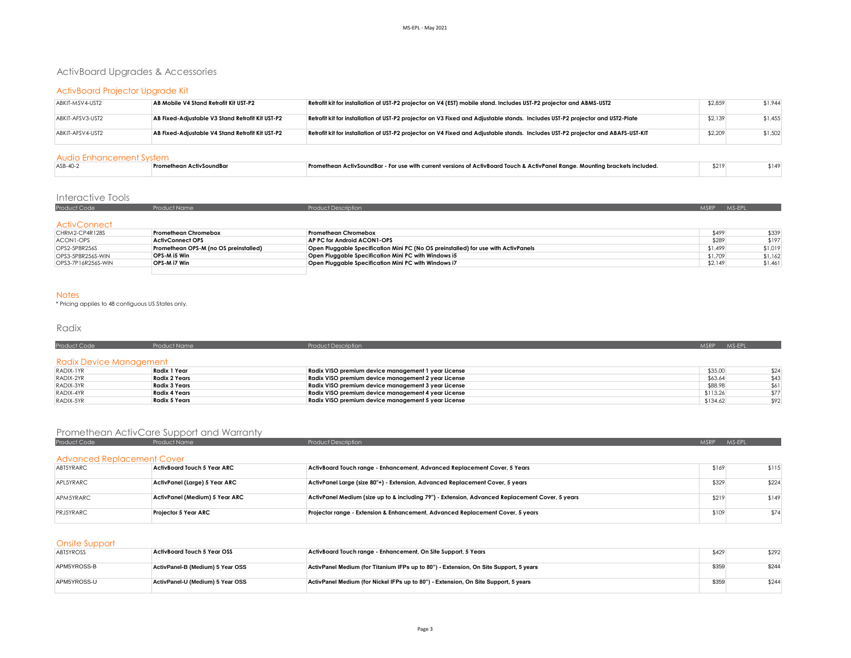# ActivBoard Upgrades & Accessories

## ActivBoard Projector Upgrade Kit

| ABKIT-MSV4-UST2  | AB Mobile V4 Stand Retrofit Kit UST-P2           | Retrofit kit for installation of UST-P2 projector on V4 (EST) mobile stand. Includes UST-P2 projector and ABMS-UST2              | \$2,859 | \$1,944 |
|------------------|--------------------------------------------------|----------------------------------------------------------------------------------------------------------------------------------|---------|---------|
| ABKIT-AFSV3-UST2 | AB Fixed-Adiustable V3 Stand Retrofit Kit UST-P2 | Retrofit kit for installation of UST-P2 projector on V3 Fixed and Adjustable stands. Includes UST-P2 projector and UST2-Plate    | \$2,139 | \$1,455 |
| ABKIT-AFSV4-UST2 | AB Fixed-Adiustable V4 Stand Retrofit Kit UST-P2 | Retrofit kit for installation of UST-P2 projector on V4 Fixed and Adjustable stands. Includes UST-P2 projector and ABAFS-UST-KIT | \$2,209 | \$1,502 |

#### Audio Enhancement System

| ASB-40-3 | : Promethean ActivSoundBar | - Promethean ActivSoundBar - For use with current versions of ActivBoard Touch & ActivPanel Range. Mounting brackets included. | \$219 | 5149 |
|----------|----------------------------|--------------------------------------------------------------------------------------------------------------------------------|-------|------|
|          |                            |                                                                                                                                |       |      |

# Interactive Tools

| <b>Product Code</b> | Product Name | <b>Product Description</b> | MSRP MS-EPL |  |
|---------------------|--------------|----------------------------|-------------|--|
|                     |              |                            |             |  |
| <b>ActivConnect</b> |              |                            |             |  |

| CHRM2-CP4R128S     | Promethean Chromebox                  | <b>Promethean Chromebox</b>                                                        | \$499   | \$339   |
|--------------------|---------------------------------------|------------------------------------------------------------------------------------|---------|---------|
| ACON1-OPS          | <b>ActivConnect OPS</b>               | AP PC for Android ACON1-OPS                                                        | \$289   | \$197   |
| OPS2-5P8R256S      | Promethean OPS-M (no OS preinstalled) | Open Pluggable Specification Mini PC (No OS preinstalled) for use with ActivPanels | \$1,499 | \$1,019 |
| OPS3-5P8R256S-WIN  | OPS-M i5 Win                          | Open Pluggable Specification Mini PC with Windows i5                               | \$1,709 | \$1.162 |
| OPS3-7P16R256S-WIN | OPS-M i7 Win                          | Open Pluggable Specification Mini PC with Windows i7                               | \$2,149 | \$1,461 |
|                    |                                       |                                                                                    |         |         |

#### Notes

\* Pricing applies to 48 contiguous US States only.

## Radix

| Product Code            | <b>Product Name</b>  | <b>Product Description</b>                          | MS-EPL<br>MSRP <sup>1</sup> |
|-------------------------|----------------------|-----------------------------------------------------|-----------------------------|
| Radix Device Management |                      |                                                     |                             |
| RADIX-1YR               | Radix 1 Year         | Radix VISO premium device management 1 year License | \$35.00<br>\$24             |
| RADIX-2YR               | <b>Radix 2 Years</b> | Radix VISO premium device management 2 year License | \$63.64<br>\$43             |
| RADIX-3YR               | <b>Radix 3 Years</b> | Radix VISO premium device management 3 year License | \$88.98<br>\$61             |
| RADIX-4YR               | Radix 4 Years        | Radix VISO premium device management 4 year License | \$113.26<br>\$77            |
| RADIX-5YR               | Radix 5 Years        | Radix VISO premium device management 5 year License | \$134.62<br>\$92            |

## Promethean ActivCare Support and Warranty

| Product Code                      | <b>Product Name</b>            | <b>Product Description</b>                                                                      | <b>MSRP</b> | MS-EPL |
|-----------------------------------|--------------------------------|-------------------------------------------------------------------------------------------------|-------------|--------|
| <b>Advanced Replacement Cover</b> |                                |                                                                                                 |             |        |
| ABT5YRARC                         | ActivBoard Touch 5 Year ARC    | ActivBoard Touch range - Enhancement, Advanced Replacement Cover, 5 Years                       | \$169       | \$115  |
| APL5YRARC                         | ActivPanel (Large) 5 Year ARC  | ActivPanel Large (size 80"+) - Extension, Advanced Replacement Cover, 5 years                   | \$329       | \$224  |
| APM5YRARC                         | ActivPanel (Medium) 5 Year ARC | ActivPanel Medium (size up to & including 79") - Extension, Advanced Replacement Cover, 5 years | \$219       | \$149  |
| PRJ5YRARC                         | <b>Projector 5 Year ARC</b>    | Projector range - Extension & Enhancement, Advanced Replacement Cover, 5 years                  | \$109       | \$74   |

### Onsite Support

| ABT5YROSS   | ActivBoard Touch 5 Year OSS      | ActivBoard Touch range - Enhancement, On Site Support, 5 Years                        | \$429 | \$292 |
|-------------|----------------------------------|---------------------------------------------------------------------------------------|-------|-------|
| APM5YROSS-B | ActivPanel-B (Medium) 5 Year OSS | ActivPanel Medium (for Titanium IFPs up to 80") - Extension, On Site Support, 5 years | \$359 | \$244 |
| APM5YROSS-U | ActivPanel-U (Medium) 5 Year OSS | ActivPanel Medium (for Nickel IFPs up to 80") - Extension, On Site Support, 5 years   | \$359 | \$244 |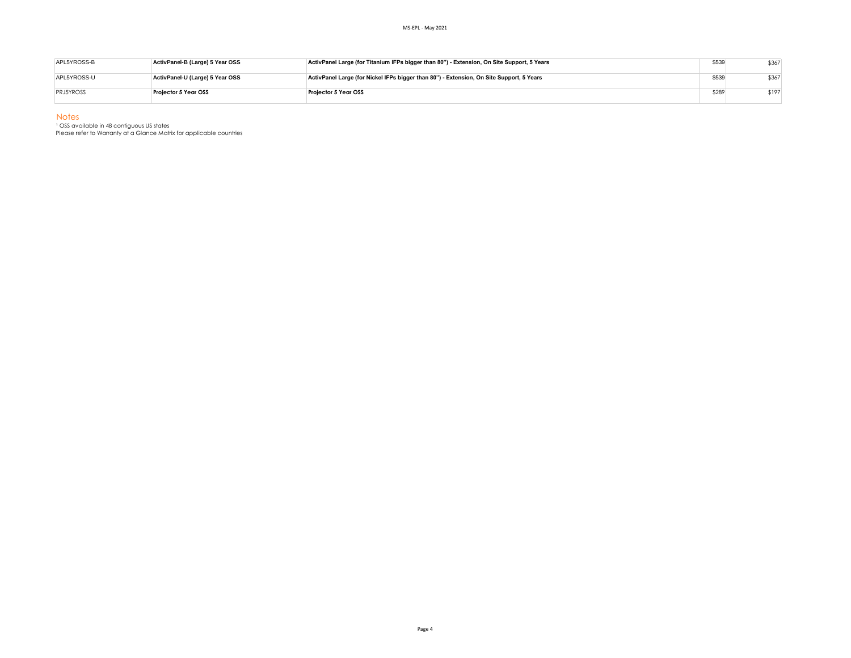| APL5YROSS-B      | ActivPanel-B (Large) 5 Year OSS | ActivPanel Large (for Titanium IFPs bigger than 80") - Extension, On Site Support, 5 Years | \$539 | \$367 |
|------------------|---------------------------------|--------------------------------------------------------------------------------------------|-------|-------|
| APL5YROSS-U      | ActivPanel-U (Large) 5 Year OSS | ActivPanel Large (for Nickel IFPs bigger than 80") - Extension, On Site Support, 5 Years   | \$539 | \$367 |
| <b>PRJ5YROSS</b> | Projector 5 Year OSS            | Proiector 5 Year OSS                                                                       | \$289 | \$197 |

Notes

<sup>1</sup> OSS available in 48 contiguous US states

Please refer to Warranty at a Glance Matrix for applicable countries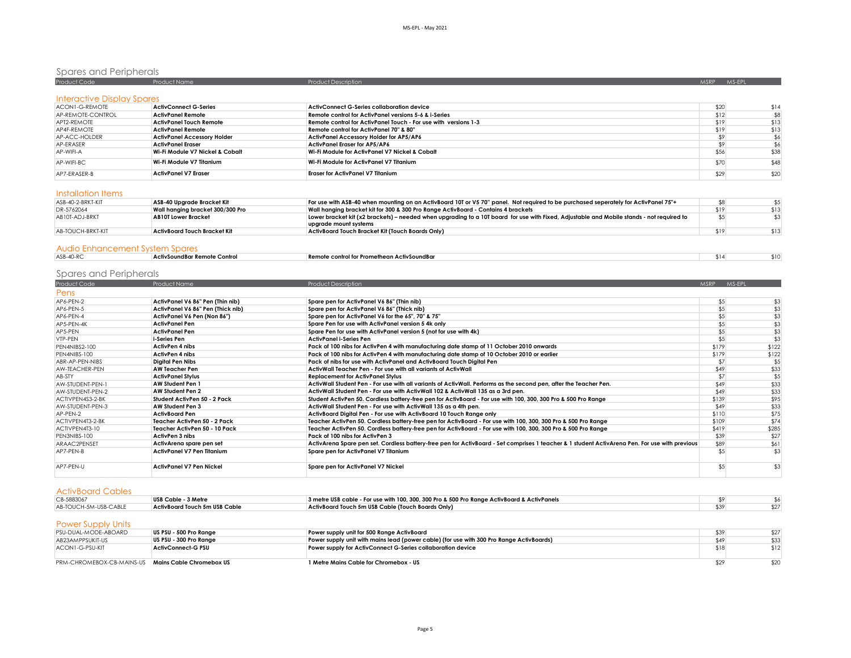# Spares and Peripherals

| <b>Product Code</b>               | <b>Product Name</b>                | <b>Product Description</b>                                      | <b>MSRP</b> | MS-EPL |
|-----------------------------------|------------------------------------|-----------------------------------------------------------------|-------------|--------|
|                                   |                                    |                                                                 |             |        |
| <b>Interactive Display Spares</b> |                                    |                                                                 |             |        |
| ACON1-G-REMOTE                    | <b>ActivConnect G-Series</b>       | ActivConnect G-Series collaboration device                      | \$20        | \$14   |
| AP-REMOTE-CONTROL                 | <b>ActivPanel Remote</b>           | Remote control for ActivPanel versions 5-6 & i-Series           | \$12        | \$8    |
| APT2-REMOTE                       | ActivPanel Touch Remote            | Remote control for ActivPanel Touch - For use with versions 1-3 | \$19        | \$13   |
| AP4F-RFMOTF                       | <b>ActivPanel Remote</b>           | Remote control for ActivPanel 70" & 80"                         | \$19        | \$13   |
| AP-ACC-HOLDER                     | <b>ActivPanel Accessory Holder</b> | <b>ActivPanel Accessory Holder for AP5/AP6</b>                  | \$9         |        |
| AP-ERASER                         | <b>ActivPanel Eraser</b>           | <b>ActivPanel Eraser for AP5/AP6</b>                            | \$9         |        |
| AP-WIFI-A                         | Wi-Fi Module V7 Nickel & Cobalt    | Wi-Fi Module for ActivPanel V7 Nickel & Cobalt                  | \$56        | \$38   |
| AP-WIFI-BC.                       | Wi-Fi Module V7 Titanium           | Wi-Fi Module for ActivPanel V7 Titanium                         | \$70        | \$48   |
| AP7-FRASFR-B                      | <b>ActivPanel V7 Eraser</b>        | <b>Eraser for ActivPanel V7 Titanium</b>                        | \$29        | \$20   |

#### Installation Items

| ASB-40-2-BRKT-KIT | ASB-40 Uparade Bracket Kit       | For use with ASB-40 when mounting on an ActivBoard 10T or V5 70" panel. Not required to be purchased seperately for ActivPanel 75"+       |      |      |
|-------------------|----------------------------------|-------------------------------------------------------------------------------------------------------------------------------------------|------|------|
| DR-5762064        | Wall hanging bracket 300/300 Pro | Wall hanging bracket kit for 300 & 300 Pro Range ActivBoard - Contains 4 brackets                                                         | \$19 | \$13 |
| AB10T-ADJ-BRKT    | <b>AB10T Lower Bracket</b>       | Lower bracket kit (x2 brackets) – needed when upgrading to a 10T board for use with Fixed, Adjustable and Mobile stands - not required to |      |      |
|                   |                                  | uparade mount systems                                                                                                                     |      |      |
| AB-TOUCH-BRKT-KIT | ActivBoard Touch Bracket Kit     | ActivBoard Touch Bracket Kit (Touch Boards Only)                                                                                          | \$19 | \$13 |
|                   |                                  |                                                                                                                                           |      |      |

### Audio Enhancement System Spares

| $ASB-40-RC$<br>או שד | Control<br><b>ActivSoundBar</b> | Remote<br>ontrol for P.<br>ean ActivSoundBar<br>- "Prome" س. | 514' |  |
|----------------------|---------------------------------|--------------------------------------------------------------|------|--|
|                      |                                 |                                                              |      |  |

# Spares and Peripherals

| <b>Product Code</b> | Product Name                      | <b>Product Description</b>                                                                                                                     | <b>MSRP</b> | MS-EPL |
|---------------------|-----------------------------------|------------------------------------------------------------------------------------------------------------------------------------------------|-------------|--------|
| Pens                |                                   |                                                                                                                                                |             |        |
| AP6-PEN-2           | ActivPanel V6 86" Pen (Thin nib)  | Spare pen for ActivPanel V6 86" (Thin nib)                                                                                                     | \$5         | \$3    |
| AP6-PEN-5           | ActivPanel V6 86" Pen (Thick nib) | Spare pen for ActivPanel V6 86" (Thick nib)                                                                                                    | \$5         | \$3    |
| AP6-PEN-4           | ActivPanel V6 Pen (Non 86")       | Spare pen for ActivPanel V6 for the 65", 70" & 75"                                                                                             | \$5         | \$3    |
| AP5-PEN-4K          | <b>ActivPanel Pen</b>             | Spare Pen for use with ActivPanel version 5 4k only                                                                                            | \$5         | \$3    |
| AP5-PEN             | <b>ActivPanel Pen</b>             | Spare Pen for use with ActivPanel version 5 (not for use with 4k)                                                                              | \$5         | \$3    |
| VTP-PEN             | i-Series Pen                      | <b>ActivPanel i-Series Pen</b>                                                                                                                 | \$5         | \$3    |
| PEN4NIBS2-100       | <b>ActivPen 4 nibs</b>            | Pack of 100 nibs for ActivPen 4 with manufacturing date stamp of 11 October 2010 onwards                                                       | \$179       | \$122  |
| PEN4NIBS-100        | <b>ActivPen 4 nibs</b>            | Pack of 100 nibs for ActivPen 4 with manufacturing date stamp of 10 October 2010 or earlier                                                    | \$179       | \$122  |
| ABR-AP-PEN-NIBS     | Digital Pen Nibs                  | Pack of nibs for use with ActivPanel and ActivBoard Touch Digital Pen                                                                          | \$7         | \$5    |
| AW-TEACHER-PEN      | <b>AW Teacher Pen</b>             | ActivWall Teacher Pen - For use with all variants of ActivWall                                                                                 | \$49        | \$33   |
| AB-STY              | <b>ActivPanel Stylus</b>          | <b>Replacement for ActivPanel Stylus</b>                                                                                                       | \$7         | \$5    |
| AW-STUDENT-PEN-1    | <b>AW Student Pen 1</b>           | ActivWall Student Pen - For use with all variants of ActivWall. Performs as the second pen, after the Teacher Pen.                             | \$49        | \$33   |
| AW-STUDENT-PEN-2    | AW Student Pen 2                  | ActivWall Student Pen - For use with ActivWall 102 & ActivWall 135 as a 3rd pen.                                                               | \$49        | \$33   |
| ACTIVPEN4S3-2-BK    | Student ActivPen 50 - 2 Pack      | Student ActivPen 50. Cordless battery-free pen for ActivBoard - For use with 100, 300, 300 Pro & 500 Pro Range                                 | \$139       | \$95   |
| AW-STUDENT-PEN-3    | AW Student Pen 3                  | ActivWall Student Pen - For use with ActivWall 135 as a 4th pen.                                                                               | \$49        | \$33   |
| AP-PEN-2            | <b>ActivBoard Pen</b>             | ActivBoard Digital Pen - For use with ActivBoard 10 Touch Range only                                                                           | \$110       | \$75   |
| ACTIVPFN4T3-2-BK    | Teacher ActivPen 50 - 2 Pack      | Teacher ActivPen 50. Cordless battery-free pen for ActivBoard - For use with 100, 300, 300 Pro & 500 Pro Range                                 | \$109       | \$74   |
| ACTIVPEN4T3-10      | Teacher ActivPen 50 - 10 Pack     | Teacher ActivPen 50. Cordless battery-free pen for ActivBoard - For use with 100, 300, 300 Pro & 500 Pro Range                                 | \$419       | \$285  |
| PEN3NIBS-100        | <b>ActivPen 3 nibs</b>            | Pack of 100 nibs for ActivPen 3                                                                                                                | \$39        | \$27   |
| ARAAC2PENSET        | ActivArena spare pen set          | ActivArena Spare pen set. Cordless battery-free pen for ActivBoard - Set comprises 1 teacher & 1 student ActivArena Pen. For use with previous | \$89        | \$61   |
| AP7-PFN-B           | ActivPanel V7 Pen Titanium        | Spare pen for ActivPanel V7 Titanium                                                                                                           |             | \$3    |
| AP7-PEN-U           | <b>ActivPanel V7 Pen Nickel</b>   | Spare pen for ActivPanel V7 Nickel                                                                                                             | \$5         | \$3    |

#### ActivBoard Cables

| CB-5883067                                         | USB Cable - 3 Metre           | 3 metre USB cable - For use with 100, 300, 300 Pro & 500 Pro Range ActivBoard & ActivPanels |      |      |
|----------------------------------------------------|-------------------------------|---------------------------------------------------------------------------------------------|------|------|
| AB-TOUCH-5M-USB-CABLE                              | ActivBoard Touch 5m USB Cable | ActivBoard Touch 5m USB Cable (Touch Boards Only)                                           | \$39 | \$27 |
|                                                    |                               |                                                                                             |      |      |
| <b>Power Supply Units</b>                          |                               |                                                                                             |      |      |
| PSU-DUAL-MODE-ABOARD                               | US PSU - 500 Pro Range        | Power supply unit for 500 Range ActivBoard                                                  | \$39 | \$27 |
| AB23AMPPSUKIT-US                                   | US PSU - 300 Pro Range        | Power supply unit with mains lead (power cable) (for use with 300 Pro Range ActivBoards)    | \$49 | \$33 |
| ACON1-G-PSU-KIT                                    | ActivConnect-G PSU            | Power supply for ActivConnect G-Series collaboration device                                 | \$18 | \$12 |
| PRM-CHROMEBOX-CB-MAINS-US Mains Cable Chromebox US |                               | 1 Metre Mains Cable for Chromebox - US                                                      | \$29 | \$20 |
|                                                    |                               |                                                                                             |      |      |